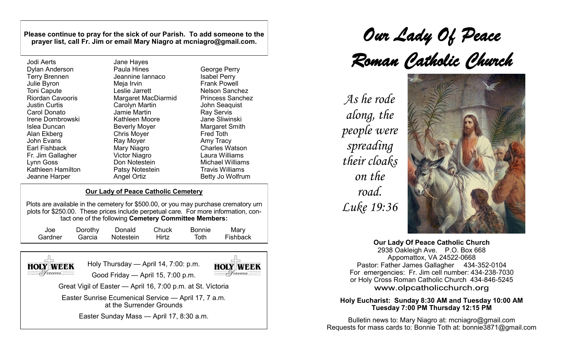**Please continue to pray for the sick of our Parish. To add someone to the prayer list, call Fr. Jim or email Mary Niagro at mcniagro@gmail.com.**

| Jodi Aerts              | Jane Hayes           |
|-------------------------|----------------------|
| <b>Dylan Anderson</b>   | Paula Hines          |
| <b>Terry Brennen</b>    | Jeannine lanna       |
| Julie Byron             | Meja Irvin           |
| <b>Toni Capute</b>      | Leslie Jarrett       |
| <b>Riordan Cavooris</b> | Margaret MacD        |
| Justin Curtis           | Carolyn Martin       |
| Carol Donato            | Jamie Martin         |
| Irene Dombrowski        | Kathleen Moor        |
| Islea Duncan            | <b>Beverly Moyer</b> |
| Alan Ekberg             | <b>Chris Moyer</b>   |
| <b>John Evans</b>       | Ray Moyer            |
| <b>Earl Fishback</b>    | Mary Niagro          |
| Fr. Jim Gallagher       | <b>Victor Niagro</b> |
| Lynn Goss               | Don Notestein        |
| Kathleen Hamilton       | Patsy Notesteir      |
| Jeanne Harper           | <b>Angel Ortiz</b>   |
|                         |                      |

nine Iannaco aret MacDiarmid leen Moore v Notestein George Perry Isabel Perry

#### Frank Powell Nelson Sanchez Princess Sanchez John Seaquist Ray Servis Jane Sliwinski Margaret Smith Fred Toth Amy Tracy Charles Watson Laura Williams Michael Williams Travis Williams Betty Jo Wolfrum

# **Our Lady of Peace Catholic Cemetery**

Plots are available in the cemetery for \$500.00, or you may purchase crematory urn plots for \$250.00.These prices include perpetual care. For more information, contact one of the following **Cemetery Committee Members:**

| Joe     | Dorothy | Donald           | Chuck        | Bonnie | Mary     |
|---------|---------|------------------|--------------|--------|----------|
| Gardner |         | Garcia Notestein | <b>Hirtz</b> | Toth   | Fishback |
|         |         |                  |              |        |          |

**HOLY WEEK** 

Holy Thursday — April 14, 7:00: p.m. Good Friday — April 15, 7:00 p.m.



Great Vigil of Easter — April 16, 7:00 p.m. at St. Victoria

Easter Sunrise Ecumenical Service — April 17, 7 a.m. at the Surrender Grounds

Easter Sunday Mass — April 17, 8:30 a.m.

*Our Lady Of Peace Roman Catholic Church*

*As he rode along, the people were spreading their cloaks on the road. Luke 19:36*



**Our Lady Of Peace Catholic Church** 2938 Oakleigh Ave. P.O. Box 668 Appomattox, VA 24522-0668 Pastor: Father James Gallagher 434-352-0104 For emergencies: Fr. Jim cell number: 434-238-7030 or Holy Cross Roman Catholic Church 434-846-5245 www.olpcatholicchurch.org

#### **Holy Eucharist: Sunday 8:30 AM and Tuesday 10:00 AM Tuesday 7:00 PM Thursday 12:15 PM**

Bulletin news to: Mary Niagro at: mcniagro@gmail.com Requests for mass cards to: Bonnie Toth at: [bonnie3871@gmail.com](mailto:bonnie3871@gmail.com)